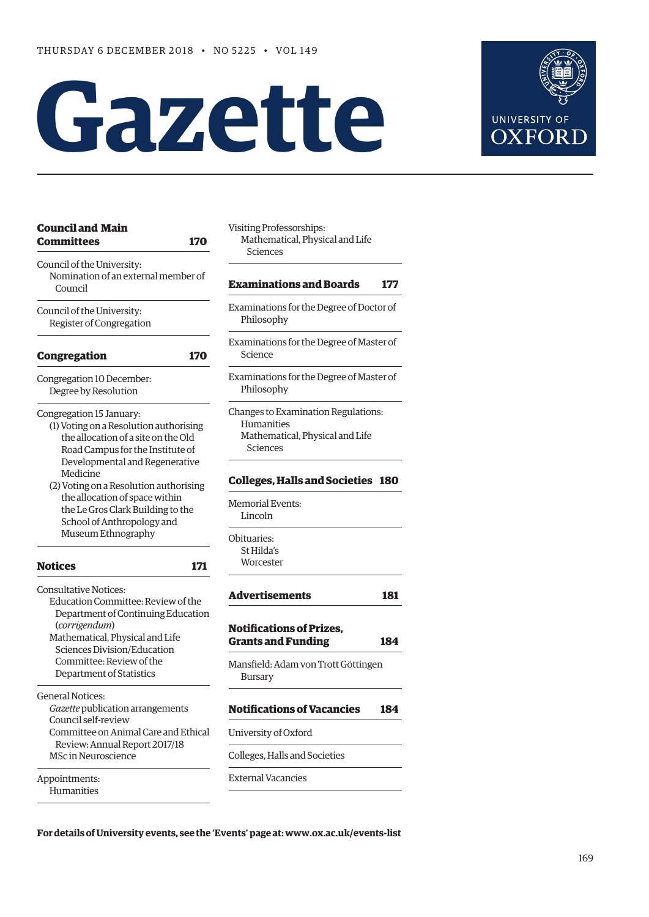# **Gazette**



| <b>Council and Main</b><br><b>Committees</b><br><b>170</b>                                                                                                                      | Visiting Professorships:<br>Mathematical, Physical and Life<br>Sciences                          |  |  |
|---------------------------------------------------------------------------------------------------------------------------------------------------------------------------------|--------------------------------------------------------------------------------------------------|--|--|
| Council of the University:<br>Nomination of an external member of<br>Council                                                                                                    | <b>Examinations and Boards</b><br>177                                                            |  |  |
| Council of the University:<br>Register of Congregation                                                                                                                          | Examinations for the Degree of Doctor of<br>Philosophy                                           |  |  |
| <b>Congregation</b><br>170                                                                                                                                                      | Examinations for the Degree of Master of<br>Science                                              |  |  |
| Congregation 10 December:<br>Degree by Resolution                                                                                                                               | Examinations for the Degree of Master of<br>Philosophy                                           |  |  |
| Congregation 15 January:<br>(1) Voting on a Resolution authorising<br>the allocation of a site on the Old<br>Road Campus for the Institute of<br>Developmental and Regenerative | Changes to Examination Regulations:<br>Humanities<br>Mathematical, Physical and Life<br>Sciences |  |  |
| Medicine<br>(2) Voting on a Resolution authorising                                                                                                                              | <b>Colleges, Halls and Societies 180</b>                                                         |  |  |
| the allocation of space within<br>the Le Gros Clark Building to the<br>School of Anthropology and                                                                               | <b>Memorial Events:</b><br>Lincoln                                                               |  |  |
| Museum Ethnography<br><b>Notices</b><br>171                                                                                                                                     | Obituaries:<br>St Hilda's<br>Worcester                                                           |  |  |
| <b>Consultative Notices:</b>                                                                                                                                                    | <b>Advertisements</b><br>181                                                                     |  |  |
| Education Committee: Review of the<br>Department of Continuing Education<br>(corrigendum)<br>Mathematical, Physical and Life<br>Sciences Division/Education                     | <b>Notifications of Prizes,</b><br><b>Grants and Funding</b><br>184                              |  |  |
| Committee: Review of the<br>Department of Statistics                                                                                                                            | Mansfield: Adam von Trott Göttingen<br>Bursary                                                   |  |  |
| <b>General Notices:</b><br>Gazette publication arrangements<br>Council self-review                                                                                              | <b>Notifications of Vacancies</b><br>184                                                         |  |  |
| Committee on Animal Care and Ethical<br>Review: Annual Report 2017/18                                                                                                           | University of Oxford                                                                             |  |  |
| <b>MSc in Neuroscience</b>                                                                                                                                                      | Colleges, Halls and Societies                                                                    |  |  |
| Appointments:<br>Humanities                                                                                                                                                     | <b>External Vacancies</b>                                                                        |  |  |

**For details of University events, see the 'Events' page at: [www.ox.ac.uk/events-list](http://www.ox.ac.uk/events-list)**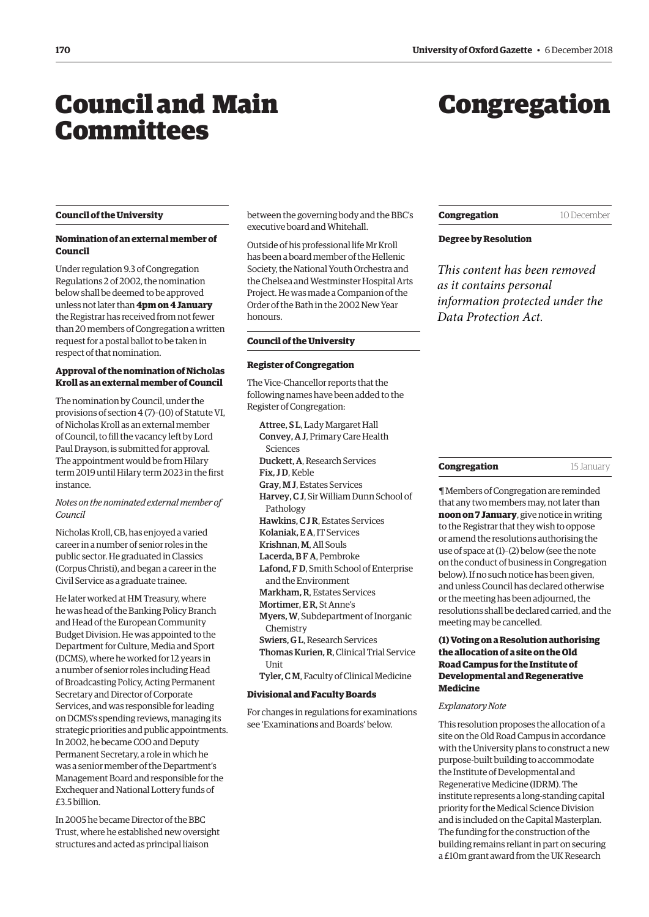# <span id="page-1-0"></span>Council and Main Committees

# Congregation

#### **Council of the University**

# **Nomination of an external member of Council**

Under regulation 9.3 of Congregation Regulations 2 of 2002, the nomination below shall be deemed to be approved unless not later than **4pm on 4 January** the Registrar has received from not fewer than 20 members of Congregation a written request for a postal ballot to be taken in respect of that nomination.

# **Approval of the nomination of Nicholas Kroll as an external member of Council**

The nomination by Council, under the provisions of section 4 (7)–(10) of Statute VI, of Nicholas Kroll as an external member of Council, to fill the vacancy left by Lord Paul Drayson, is submitted for approval. The appointment would be from Hilary term 2019 until Hilary term 2023 in the first instance.

# *Notes on the nominated external member of Council*

Nicholas Kroll, CB, has enjoyed a varied career in a number of senior roles in the public sector. He graduated in Classics (Corpus Christi), and began a career in the Civil Service as a graduate trainee.

He later worked at HM Treasury, where he was head of the Banking Policy Branch and Head of the European Community Budget Division. He was appointed to the Department for Culture, Media and Sport (DCMS), where he worked for 12 years in a number of senior roles including Head of Broadcasting Policy, Acting Permanent Secretary and Director of Corporate Services, and was responsible for leading on DCMS's spending reviews, managing its strategic priorities and public appointments. In 2002, he became COO and Deputy Permanent Secretary, a role in which he was a senior member of the Department's Management Board and responsible for the Exchequer and National Lottery funds of £3.5 billion.

In 2005 he became Director of the BBC Trust, where he established new oversight structures and acted as principal liaison

between the governing body and the BBC's executive board and Whitehall.

Outside of his professional life Mr Kroll has been a board member of the Hellenic Society, the National Youth Orchestra and the Chelsea and Westminster Hospital Arts Project. He was made a Companion of the Order of the Bath in the 2002 New Year honours.

#### **Council of the University**

## **Register of Congregation**

The Vice-Chancellor reports that the following names have been added to the Register of Congregation:

Attree, S L, Lady Margaret Hall Convey, A J, Primary Care Health Sciences Duckett, A, Research Services Fix, J D, Keble Gray, M J, Estates Services Harvey, C J, Sir William Dunn School of Pathology Hawkins, C J R, Estates Services Kolaniak, E A, IT Services Krishnan, M, All Souls Lacerda, B F A, Pembroke Lafond, F D, Smith School of Enterprise and the Environment Markham, R, Estates Services Mortimer, E R, St Anne's Myers, W, Subdepartment of Inorganic **Chemistry** Swiers, G L, Research Services Thomas Kurien, R, Clinical Trial Service

**I**Init

Tyler, C M, Faculty of Clinical Medicine

#### **Divisional and Faculty Boards**

For changes in regulations for examinations see 'Examinations and Boards' below.

# **Congregation** 10 December

# **Degree by Resolution**

*This content has been removed as it contains personal information protected under the Data Protection Act.*

#### **Congregation** 15 January

¶ Members of Congregation are reminded that any two members may, not later than **noon on 7 January**, give notice in writing to the Registrar that they wish to oppose or amend the resolutions authorising the use of space at (1)–(2) below (see the note on the conduct of business in Congregation below). If no such notice has been given, and unless Council has declared otherwise or the meeting has been adjourned, the resolutions shall be declared carried, and the meeting may be cancelled.

# **(1) Voting on a Resolution authorising the allocation of a site on the Old Road Campus for the Institute of Developmental and Regenerative Medicine**

#### *Explanatory Note*

This resolution proposes the allocation of a site on the Old Road Campus in accordance with the University plans to construct a new purpose-built building to accommodate the Institute of Developmental and Regenerative Medicine (IDRM). The institute represents a long-standing capital priority for the Medical Science Division and is included on the Capital Masterplan. The funding for the construction of the building remains reliant in part on securing a £10m grant award from the UK Research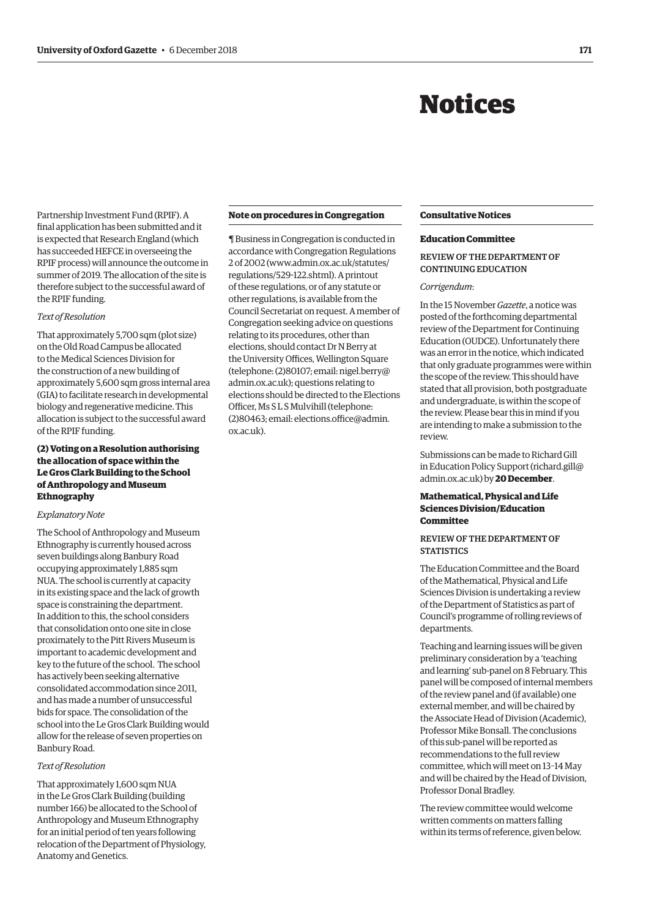# Notices

<span id="page-2-0"></span>Partnership Investment Fund (RPIF). A final application has been submitted and it is expected that Research England (which has succeeded HEFCE in overseeing the RPIF process) will announce the outcome in summer of 2019. The allocation of the site is therefore subject to the successful award of the RPIF funding.

#### *Text of Resolution*

That approximately 5,700 sqm (plot size) on the Old Road Campus be allocated to the Medical Sciences Division for the construction of a new building of approximately 5,600 sqm gross internal area (GIA) to facilitate research in developmental biology and regenerative medicine. This allocation is subject to the successful award of the RPIF funding.

# **(2) Voting on a Resolution authorising the allocation of space within the Le Gros Clark Building to the School of Anthropology and Museum Ethnography**

# *Explanatory Note*

The School of Anthropology and Museum Ethnography is currently housed across seven buildings along Banbury Road occupying approximately 1,885 sqm NUA. The school is currently at capacity in its existing space and the lack of growth space is constraining the department. In addition to this, the school considers that consolidation onto one site in close proximately to the Pitt Rivers Museum is important to academic development and key to the future of the school. The school has actively been seeking alternative consolidated accommodation since 2011, and has made a number of unsuccessful bids for space. The consolidation of the school into the Le Gros Clark Building would allow for the release of seven properties on Banbury Road.

# *Text of Resolution*

That approximately 1,600 sqm NUA in the Le Gros Clark Building (building number 166) be allocated to the School of Anthropology and Museum Ethnography for an initial period of ten years following relocation of the Department of Physiology, Anatomy and Genetics.

#### **Note on procedures in Congregation**

¶ Business in Congregation is conducted in accordance with Congregation Regulations 2 of 2002 [\(www.admin.ox.ac.uk/statutes/](http://www.admin.ox.ac.uk/statutes/regulations/529-122.shtml) [regulations/529-122.shtml\). A p](http://www.admin.ox.ac.uk/statutes/regulations/529-122.shtml)rintout of these regulations, or of any statute or other regulations, is available from the Council Secretariat on request. A member of Congregation seeking advice on questions relating to its procedures, other than elections, should contact Dr N Berry at the University Offices, Wellington Square [\(telephone: \(2\)80107; email: nigel.berry@](mailto:nigel.berry@admin.ox.ac.uk) admin.ox.ac.uk); questions relating to elections should be directed to the Elections Officer, Ms S L S Mulvihill (telephone: [\(2\)80463; email: elections.office@admin.](mailto:elections.office@admin.ox.ac.uk) ox.ac.uk).

# **Consultative Notices**

#### **Education Committee**

# REVIEW OF THE DEPARTMENT OF CONTINUING EDUCATION

## *Corrigendum*:

In the 15 November *Gazette*, a notice was posted of the forthcoming departmental review of the Department for Continuing Education (OUDCE). Unfortunately there was an error in the notice, which indicated that only graduate programmes were within the scope of the review. This should have stated that all provision, both postgraduate and undergraduate, is within the scope of the review. Please bear this in mind if you are intending to make a submission to the review.

Submissions can be made to Richard Gill in Education Policy Support [\(richard.gill@](mailto:richard.gill@admin.ox.ac.uk) [admin.ox.ac.uk\) by](mailto:richard.gill@admin.ox.ac.uk) **20 December**.

# **Mathematical, Physical and Life Sciences Division/Education Committee**

# REVIEW OF THE DEPARTMENT OF **STATISTICS**

The Education Committee and the Board of the Mathematical, Physical and Life Sciences Division is undertaking a review of the Department of Statistics as part of Council's programme of rolling reviews of departments.

Teaching and learning issues will be given preliminary consideration by a 'teaching and learning' sub-panel on 8 February. This panel will be composed of internal members of the review panel and (if available) one external member, and will be chaired by the Associate Head of Division (Academic), Professor Mike Bonsall. The conclusions of this sub-panel will be reported as recommendations to the full review committee, which will meet on 13–14 May and will be chaired by the Head of Division, Professor Donal Bradley.

The review committee would welcome written comments on matters falling within its terms of reference, given below.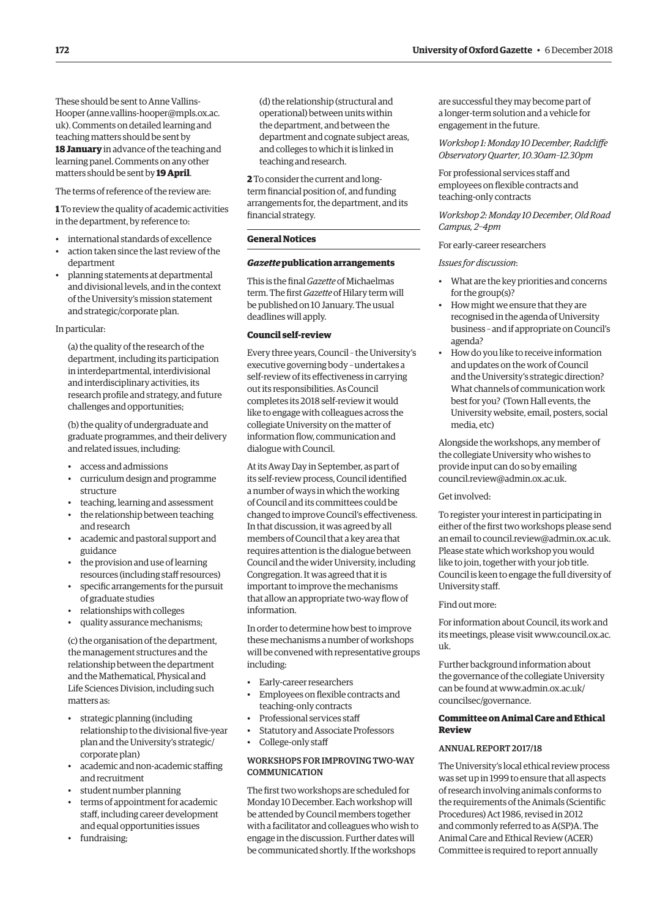These should be sent to Anne Vallins-Hooper [\(anne.vallins-hooper@mpls.ox.ac.](mailto:anne.vallins-hooper@mpls.ox.ac.uk) [uk\). Co](mailto:anne.vallins-hooper@mpls.ox.ac.uk)mments on detailed learning and teaching matters should be sent by **18 January** in advance of the teaching and learning panel. Comments on any other matters should be sent by **19 April**.

The terms of reference of the review are:

**1** To review the quality of academic activities in the department, by reference to:

- international standards of excellence
- action taken since the last review of the department
- planning statements at departmental and divisional levels, and in the context of the University's mission statement and strategic/corporate plan.

## In particular:

(a) the quality of the research of the department, including its participation in interdepartmental, interdivisional and interdisciplinary activities, its research profile and strategy, and future challenges and opportunities;

(b) the quality of undergraduate and graduate programmes, and their delivery and related issues, including:

- access and admissions
- curriculum design and programme structure
- teaching, learning and assessment
- the relationship between teaching and research
- academic and pastoral support and guidance
- the provision and use of learning resources (including staff resources)
- specific arrangements for the pursuit of graduate studies
- relationships with colleges
- quality assurance mechanisms;

(c) the organisation of the department, the management structures and the relationship between the department and the Mathematical, Physical and Life Sciences Division, including such matters as:

- strategic planning (including relationship to the divisional five-year plan and the University's strategic/ corporate plan)
- academic and non-academic staffing and recruitment
- student number planning
- terms of appointment for academic staff, including career development and equal opportunities issues
- fundraising;

(d) the relationship (structural and operational) between units within the department, and between the department and cognate subject areas, and colleges to which it is linked in teaching and research.

**2** To consider the current and longterm financial position of, and funding arrangements for, the department, and its financial strategy.

# **General Notices**

# *Gazette* **publication arrangements**

This is the final *Gazette* of Michaelmas term. The first *Gazette* of Hilary term will be published on 10 January. The usual deadlines will apply.

#### **Council self-review**

Every three years, Council – the University's executive governing body – undertakes a self-review of its effectiveness in carrying out its responsibilities. As Council completes its 2018 self-review it would like to engage with colleagues across the collegiate University on the matter of information flow, communication and dialogue with Council.

At its Away Day in September, as part of its self-review process, Council identified a number of ways in which the working of Council and its committees could be changed to improve Council's effectiveness. In that discussion, it was agreed by all members of Council that a key area that requires attention is the dialogue between Council and the wider University, including Congregation. It was agreed that it is important to improve the mechanisms that allow an appropriate two-way flow of information.

In order to determine how best to improve these mechanisms a number of workshops will be convened with representative groups including:

- Early-career researchers
- Employees on flexible contracts and teaching-only contracts
- Professional services staff
- Statutory and Associate Professors
- College-only staff

# WORKSHOPS FOR IMPROVING TWO-WAY **COMMUNICATION**

The first two workshops are scheduled for Monday 10 December. Each workshop will be attended by Council members together with a facilitator and colleagues who wish to engage in the discussion. Further dates will be communicated shortly. If the workshops

are successful they may become part of a longer-term solution and a vehicle for engagement in the future.

*Workshop 1: Monday 10 December, Radcliffe Observatory Quarter, 10.30am–12.30pm* 

For professional services staff and employees on flexible contracts and teaching-only contracts

*Workshop 2: Monday 10 December, Old Road Campus, 2–4pm*

# For early-career researchers

*Issues for discussion*:

- What are the key priorities and concerns for the group(s)?
- How might we ensure that they are recognised in the agenda of University business – and if appropriate on Council's agenda?
- How do you like to receive information and updates on the work of Council and the University's strategic direction? What channels of communication work best for you? (Town Hall events, the University website, email, posters, social media, etc)

Alongside the workshops, any member of the collegiate University who wishes to provide input can do so by emailing [council.review@admin.ox.ac.uk.](mailto:council.review@admin.ox.ac.uk)

# Get involved:

To register your interest in participating in either of the first two workshops please send an email to [council.review@admin.ox.ac.uk.](mailto:council.review@admin.ox.ac.uk)  Please state which workshop you would like to join, together with your job title. Council is keen to engage the full diversity of University staff.

#### Find out more:

For information about Council, its work and [its meetings, please visit www.council.ox.ac.](www.council.ox.ac.uk) uk.

Further background information about the governance of the collegiate University [can be found at www.admin.ox.ac.uk/](www.admin.ox.ac.uk/councilsec/governance) councilsec/governance.

# **Committee on Animal Care and Ethical Review**

# ANNUAL REPORT 2017/18

The University's local ethical review process was set up in 1999 to ensure that all aspects of research involving animals conforms to the requirements of the Animals (Scientific Procedures) Act 1986, revised in 2012 and commonly referred to as A(SP)A. The Animal Care and Ethical Review (ACER) Committee is required to report annually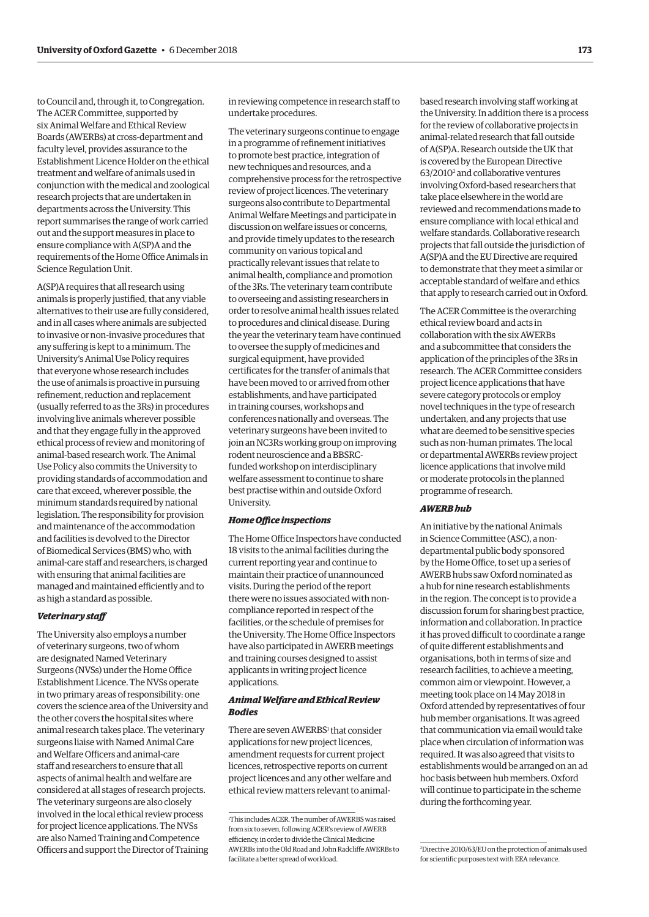to Council and, through it, to Congregation. The ACER Committee, supported by six Animal Welfare and Ethical Review Boards (AWERBs) at cross-department and faculty level, provides assurance to the Establishment Licence Holder on the ethical treatment and welfare of animals used in conjunction with the medical and zoological research projects that are undertaken in departments across the University. This report summarises the range of work carried out and the support measures in place to ensure compliance with A(SP)A and the requirements of the Home Office Animals in Science Regulation Unit.

A(SP)A requires that all research using animals is properly justified, that any viable alternatives to their use are fully considered, and in all cases where animals are subjected to invasive or non-invasive procedures that any suffering is kept to a minimum. The University's Animal Use Policy requires that everyone whose research includes the use of animals is proactive in pursuing refinement, reduction and replacement (usually referred to as the 3Rs) in procedures involving live animals wherever possible and that they engage fully in the approved ethical process of review and monitoring of animal-based research work. The Animal Use Policy also commits the University to providing standards of accommodation and care that exceed, wherever possible, the minimum standards required by national legislation. The responsibility for provision and maintenance of the accommodation and facilities is devolved to the Director of Biomedical Services (BMS) who, with animal-care staff and researchers, is charged with ensuring that animal facilities are managed and maintained efficiently and to as high a standard as possible.

#### *Veterinary staff*

The University also employs a number of veterinary surgeons, two of whom are designated Named Veterinary Surgeons (NVSs) under the Home Office Establishment Licence. The NVSs operate in two primary areas of responsibility: one covers the science area of the University and the other covers the hospital sites where animal research takes place. The veterinary surgeons liaise with Named Animal Care and Welfare Officers and animal-care staff and researchers to ensure that all aspects of animal health and welfare are considered at all stages of research projects. The veterinary surgeons are also closely involved in the local ethical review process for project licence applications. The NVSs are also Named Training and Competence Officers and support the Director of Training in reviewing competence in research staff to undertake procedures.

The veterinary surgeons continue to engage in a programme of refinement initiatives to promote best practice, integration of new techniques and resources, and a comprehensive process for the retrospective review of project licences. The veterinary surgeons also contribute to Departmental Animal Welfare Meetings and participate in discussion on welfare issues or concerns, and provide timely updates to the research community on various topical and practically relevant issues that relate to animal health, compliance and promotion of the 3Rs. The veterinary team contribute to overseeing and assisting researchers in order to resolve animal health issues related to procedures and clinical disease. During the year the veterinary team have continued to oversee the supply of medicines and surgical equipment, have provided certificates for the transfer of animals that have been moved to or arrived from other establishments, and have participated in training courses, workshops and conferences nationally and overseas. The veterinary surgeons have been invited to join an NC3Rs working group on improving rodent neuroscience and a BBSRCfunded workshop on interdisciplinary welfare assessment to continue to share best practise within and outside Oxford University.

#### *Home Office inspections*

The Home Office Inspectors have conducted 18 visits to the animal facilities during the current reporting year and continue to maintain their practice of unannounced visits. During the period of the report there were no issues associated with noncompliance reported in respect of the facilities, or the schedule of premises for the University. The Home Office Inspectors have also participated in AWERB meetings and training courses designed to assist applicants in writing project licence applications.

# *Animal Welfare and Ethical Review Bodies*

There are seven AWERBS<sup>1</sup> that consider applications for new project licences, amendment requests for current project licences, retrospective reports on current project licences and any other welfare and ethical review matters relevant to animalbased research involving staff working at the University. In addition there is a process for the review of collaborative projects in animal-related research that fall outside of A(SP)A. Research outside the UK that is covered by the European Directive 63/20102 and collaborative ventures involving Oxford-based researchers that take place elsewhere in the world are reviewed and recommendations made to ensure compliance with local ethical and welfare standards. Collaborative research projects that fall outside the jurisdiction of A(SP)A and the EU Directive are required to demonstrate that they meet a similar or acceptable standard of welfare and ethics that apply to research carried out in Oxford.

The ACER Committee is the overarching ethical review board and acts in collaboration with the six AWERBs and a subcommittee that considers the application of the principles of the 3Rs in research. The ACER Committee considers project licence applications that have severe category protocols or employ novel techniques in the type of research undertaken, and any projects that use what are deemed to be sensitive species such as non-human primates. The local or departmental AWERBs review project licence applications that involve mild or moderate protocols in the planned programme of research.

# *AWERB hub*

An initiative by the national Animals in Science Committee (ASC), a nondepartmental public body sponsored by the Home Office, to set up a series of AWERB hubs saw Oxford nominated as a hub for nine research establishments in the region. The concept is to provide a discussion forum for sharing best practice, information and collaboration. In practice it has proved difficult to coordinate a range of quite different establishments and organisations, both in terms of size and research facilities, to achieve a meeting, common aim or viewpoint. However, a meeting took place on 14 May 2018 in Oxford attended by representatives of four hub member organisations. It was agreed that communication via email would take place when circulation of information was required. It was also agreed that visits to establishments would be arranged on an ad hoc basis between hub members. Oxford will continue to participate in the scheme during the forthcoming year.

<sup>1</sup> This includes ACER. The number of AWERBS was raised from six to seven, following ACER's review of AWERB efficiency, in order to divide the Clinical Medicine AWERBs into the Old Road and John Radcliffe AWERBs to facilitate a better spread of workload.

<sup>2</sup> Directive 2010/63/EU on the protection of animals used for scientific purposes text with EEA relevance.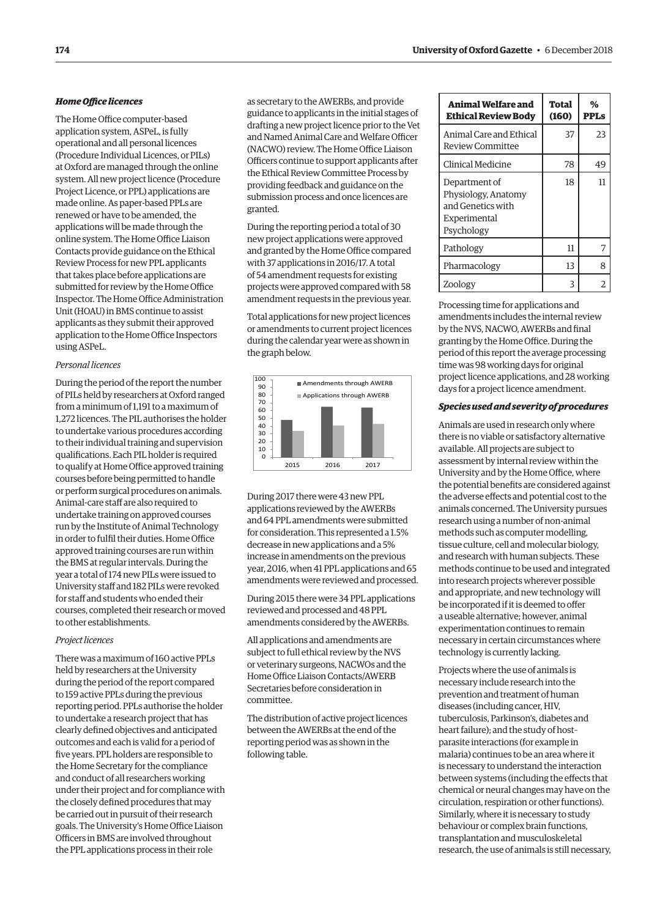# *Home Office licences*

The Home Office computer-based application system, ASPeL, is fully operational and all personal licences (Procedure Individual Licences, or PILs) at Oxford are managed through the online system. All new project licence (Procedure Project Licence, or PPL) applications are made online. As paper-based PPLs are renewed or have to be amended, the applications will be made through the online system. The Home Office Liaison Contacts provide guidance on the Ethical Review Process for new PPL applicants that takes place before applications are submitted for review by the Home Office Inspector. The Home Office Administration Unit (HOAU) in BMS continue to assist applicants as they submit their approved application to the Home Office Inspectors using ASPeL.

# *Personal licences*

During the period of the report the number of PILs held by researchers at Oxford ranged from a minimum of 1,191 to a maximum of 1,272 licences. The PIL authorises the holder to undertake various procedures according to their individual training and supervision qualifications. Each PIL holder is required to qualify at Home Office approved training courses before being permitted to handle or perform surgical procedures on animals. Animal-care staff are also required to undertake training on approved courses run by the Institute of Animal Technology in order to fulfil their duties. Home Office approved training courses are run within the BMS at regular intervals. During the year a total of 174 new PILs were issued to University staff and 182 PILs were revoked for staff and students who ended their courses, completed their research or moved to other establishments.

#### *Project licences*

There was a maximum of 160 active PPLs held by researchers at the University during the period of the report compared to 159 active PPLs during the previous reporting period. PPLs authorise the holder to undertake a research project that has clearly defined objectives and anticipated outcomes and each is valid for a period of five years. PPL holders are responsible to the Home Secretary for the compliance and conduct of all researchers working under their project and for compliance with the closely defined procedures that may be carried out in pursuit of their research goals. The University's Home Office Liaison Officers in BMS are involved throughout the PPL applications process in their role

as secretary to the AWERBs, and provide guidance to applicants in the initial stages of drafting a new project licence prior to the Vet and Named Animal Care and Welfare Officer (NACWO) review. The Home Office Liaison Officers continue to support applicants after the Ethical Review Committee Process by providing feedback and guidance on the submission process and once licences are granted.

During the reporting period a total of 30 new project applications were approved and granted by the Home Office compared with 37 applications in 2016/17. A total of 54 amendment requests for existing projects were approved compared with 58 amendment requests in the previous year.

Total applications for new project licences or amendments to current project licences during the calendar year were as shown in the graph below.



During 2017 there were 43 new PPL applications reviewed by the AWERBs and 64 PPL amendments were submitted for consideration. This represented a 1.5% decrease in new applications and a 5% increase in amendments on the previous year, 2016, when 41 PPL applications and 65 amendments were reviewed and processed.

During 2015 there were 34 PPL applications reviewed and processed and 48 PPL amendments considered by the AWERBs.

All applications and amendments are subject to full ethical review by the NVS or veterinary surgeons, NACWOs and the Home Office Liaison Contacts/AWERB Secretaries before consideration in committee.

The distribution of active project licences between the AWERBs at the end of the reporting period was as shown in the following table.

| Animal Welfare and<br><b>Ethical Review Body</b>                                        | Total<br>(160) | %<br>PPLs |
|-----------------------------------------------------------------------------------------|----------------|-----------|
| Animal Care and Ethical<br>Review Committee                                             | 37             | 23        |
| Clinical Medicine                                                                       | 78             | 49        |
| Department of<br>Physiology, Anatomy<br>and Genetics with<br>Experimental<br>Psychology | 18             | 11        |
| Pathology                                                                               | 11             | 7         |
| Pharmacology                                                                            | 13             | 8         |
| Zoology                                                                                 | 3              |           |

Processing time for applications and amendments includes the internal review by the NVS, NACWO, AWERBs and final granting by the Home Office. During the period of this report the average processing time was 98 working days for original project licence applications, and 28 working days for a project licence amendment.

#### *Species used and severity of procedures*

Animals are used in research only where there is no viable or satisfactory alternative available. All projects are subject to assessment by internal review within the University and by the Home Office, where the potential benefits are considered against the adverse effects and potential cost to the animals concerned. The University pursues research using a number of non-animal methods such as computer modelling, tissue culture, cell and molecular biology, and research with human subjects. These methods continue to be used and integrated into research projects wherever possible and appropriate, and new technology will be incorporated if it is deemed to offer a useable alternative; however, animal experimentation continues to remain necessary in certain circumstances where technology is currently lacking.

Projects where the use of animals is necessary include research into the prevention and treatment of human diseases (including cancer, HIV, tuberculosis, Parkinson's, diabetes and heart failure); and the study of host– parasite interactions (for example in malaria) continues to be an area where it is necessary to understand the interaction between systems (including the effects that chemical or neural changes may have on the circulation, respiration or other functions). Similarly, where it is necessary to study behaviour or complex brain functions, transplantation and musculoskeletal research, the use of animals is still necessary,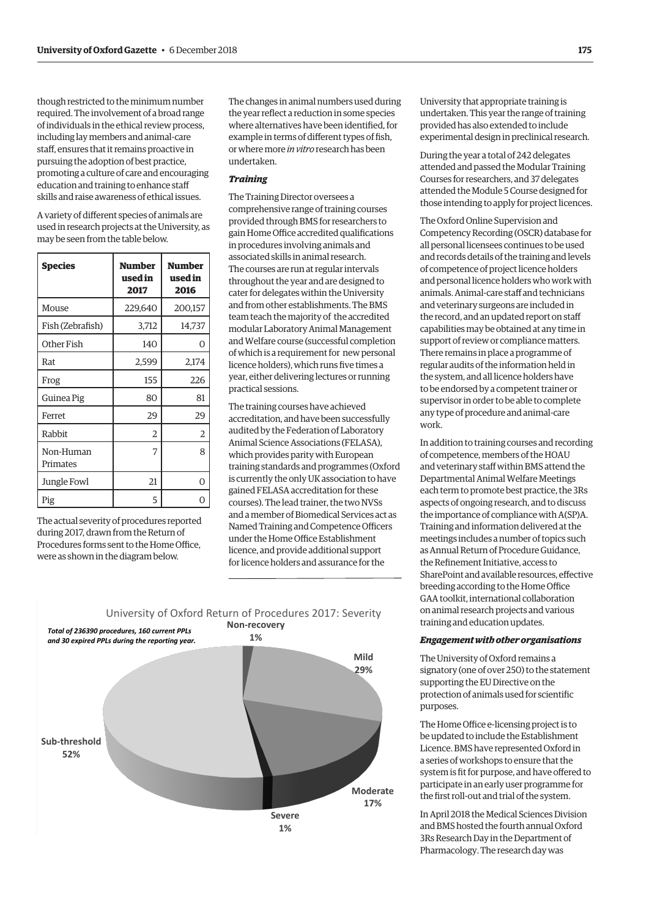though restricted to the minimum number required. The involvement of a broad range of individuals in the ethical review process, including lay members and animal-care staff, ensures that it remains proactive in pursuing the adoption of best practice, promoting a culture of care and encouraging education and training to enhance staff skills and raise awareness of ethical issues.

A variety of different species of animals are used in research projects at the University, as may be seen from the table below.

| <b>Species</b>        | Number<br>used in<br>2017 | Number<br>used in<br>2016 |
|-----------------------|---------------------------|---------------------------|
| Mouse                 | 229,640                   | 200,157                   |
| Fish (Zebrafish)      | 3,712                     | 14,737                    |
| Other Fish            | 140                       | 0                         |
| Rat                   | 2,599                     | 2,174                     |
| Frog                  | 155                       | 226                       |
| Guinea Pig            | 80                        | 81                        |
| Ferret                | 29                        | 29                        |
| Rabbit                | 2                         | 2                         |
| Non-Human<br>Primates | 7                         | 8                         |
| Jungle Fowl           | 21                        | 0                         |
| Pig                   | 5                         |                           |

The actual severity of procedures reported during 2017, drawn from the Return of Procedures forms sent to the Home Office, were as shown in the diagram below.

The changes in animal numbers used during the year reflect a reduction in some species where alternatives have been identified, for example in terms of different types of fish, or where more *in vitro* research has been undertaken.

# *Training*

The Training Director oversees a comprehensive range of training courses provided through BMS for researchers to gain Home Office accredited qualifications in procedures involving animals and associated skills in animal research. The courses are run at regular intervals throughout the year and are designed to cater for delegates within the University and from other establishments. The BMS team teach the majority of the accredited modular Laboratory Animal Management and Welfare course (successful completion of which is a requirement for new personal licence holders), which runs five times a year, either delivering lectures or running practical sessions.

The training courses have achieved accreditation, and have been successfully audited by the Federation of Laboratory Animal Science Associations (FELASA), which provides parity with European training standards and programmes (Oxford is currently the only UK association to have gained FELASA accreditation for these courses). The lead trainer, the two NVSs and a member of Biomedical Services act as Named Training and Competence Officers under the Home Office Establishment licence, and provide additional support for licence holders and assurance for the



University that appropriate training is undertaken. This year the range of training provided has also extended to include experimental design in preclinical research.

During the year a total of 242 delegates attended and passed the Modular Training Courses for researchers, and 37 delegates attended the Module 5 Course designed for those intending to apply for project licences.

The Oxford Online Supervision and Competency Recording (OSCR) database for all personal licensees continues to be used and records details of the training and levels of competence of project licence holders and personal licence holders who work with animals. Animal-care staff and technicians and veterinary surgeons are included in the record, and an updated report on staff capabilities may be obtained at any time in support of review or compliance matters. There remains in place a programme of regular audits of the information held in the system, and all licence holders have to be endorsed by a competent trainer or supervisor in order to be able to complete any type of procedure and animal-care work.

In addition to training courses and recording of competence, members of the HOAU and veterinary staff within BMS attend the Departmental Animal Welfare Meetings each term to promote best practice, the 3Rs aspects of ongoing research, and to discuss the importance of compliance with A(SP)A. Training and information delivered at the meetings includes a number of topics such as Annual Return of Procedure Guidance, the Refinement Initiative, access to SharePoint and available resources, effective breeding according to the Home Office GAA toolkit, international collaboration on animal research projects and various training and education updates.

#### *Engagement with other organisations*

The University of Oxford remains a signatory (one of over 250) to the statement supporting the EU Directive on the protection of animals used for scientific purposes.

The Home Office e-licensing project is to be updated to include the Establishment Licence. BMS have represented Oxford in a series of workshops to ensure that the system is fit for purpose, and have offered to participate in an early user programme for the first roll-out and trial of the system.

In April 2018 the Medical Sciences Division and BMS hosted the fourth annual Oxford 3Rs Research Day in the Department of Pharmacology. The research day was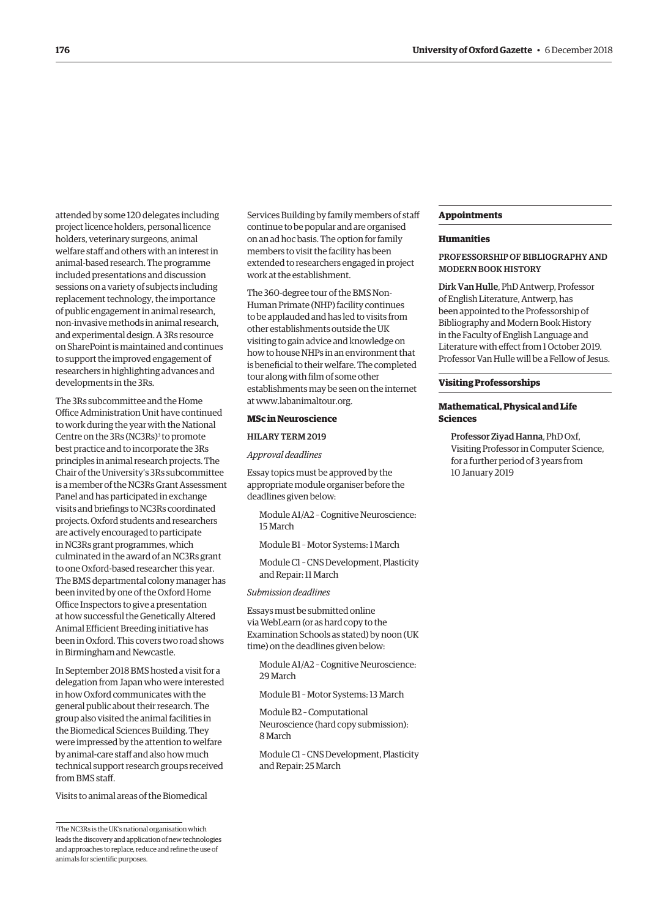attended by some 120 delegates including project licence holders, personal licence holders, veterinary surgeons, animal welfare staff and others with an interest in animal-based research. The programme included presentations and discussion sessions on a variety of subjects including replacement technology, the importance of public engagement in animal research, non-invasive methods in animal research, and experimental design. A 3Rs resource on SharePoint is maintained and continues to support the improved engagement of researchers in highlighting advances and developments in the 3Rs.

The 3Rs subcommittee and the Home Office Administration Unit have continued to work during the year with the National Centre on the 3Rs (NC3Rs)<sup>3</sup> to promote best practice and to incorporate the 3Rs principles in animal research projects. The Chair of the University's 3Rs subcommittee is a member of the NC3Rs Grant Assessment Panel and has participated in exchange visits and briefings to NC3Rs coordinated projects. Oxford students and researchers are actively encouraged to participate in NC3Rs grant programmes, which culminated in the award of an NC3Rs grant to one Oxford-based researcher this year. The BMS departmental colony manager has been invited by one of the Oxford Home Office Inspectors to give a presentation at how successful the Genetically Altered Animal Efficient Breeding initiative has been in Oxford. This covers two road shows in Birmingham and Newcastle.

In September 2018 BMS hosted a visit for a delegation from Japan who were interested in how Oxford communicates with the general public about their research. The group also visited the animal facilities in the Biomedical Sciences Building. They were impressed by the attention to welfare by animal-care staff and also how much technical support research groups received from BMS staff.

Visits to animal areas of the Biomedical

Services Building by family members of staff continue to be popular and are organised on an ad hoc basis. The option for family members to visit the facility has been extended to researchers engaged in project work at the establishment.

The 360-degree tour of the BMS Non-Human Primate (NHP) facility continues to be applauded and has led to visits from other establishments outside the UK visiting to gain advice and knowledge on how to house NHPs in an environment that is beneficial to their welfare. The completed tour along with film of some other establishments may be seen on the internet at [www.labanimaltour.org.](http://www.labanimaltour.org)

#### **MSc in Neuroscience**

HILARY TERM 2019

*Approval deadlines* 

Essay topics must be approved by the appropriate module organiser before the deadlines given below:

Module A1/A2 – Cognitive Neuroscience: 15 March

Module B1 – Motor Systems: 1 March

Module C1 – CNS Development, Plasticity and Repair: 11 March

*Submission deadlines* 

Essays must be submitted online via WebLearn (or as hard copy to the Examination Schools as stated) by noon (UK time) on the deadlines given below:

Module A1/A2 – Cognitive Neuroscience: 29 March

Module B1 – Motor Systems: 13 March

Module B2 – Computational Neuroscience (hard copy submission): 8 March

Module C1 – CNS Development, Plasticity and Repair: 25 March

#### **Appointments**

#### **Humanities**

# PROFESSORSHIP OF BIBLIOGRAPHY AND MODERN BOOK HISTORY

Dirk Van Hulle, PhD Antwerp, Professor of English Literature, Antwerp, has been appointed to the Professorship of Bibliography and Modern Book History in the Faculty of English Language and Literature with effect from 1 October 2019. Professor Van Hulle will be a Fellow of Jesus.

#### **Visiting Professorships**

## **Mathematical, Physical and Life Sciences**

Professor Ziyad Hanna, PhD Oxf, Visiting Professor in Computer Science, for a further period of 3 years from 10 January 2019

<sup>3</sup> The NC3Rs is the UK's national organisation which leads the discovery and application of new technologies and approaches to replace, reduce and refine the use of animals for scientific purposes.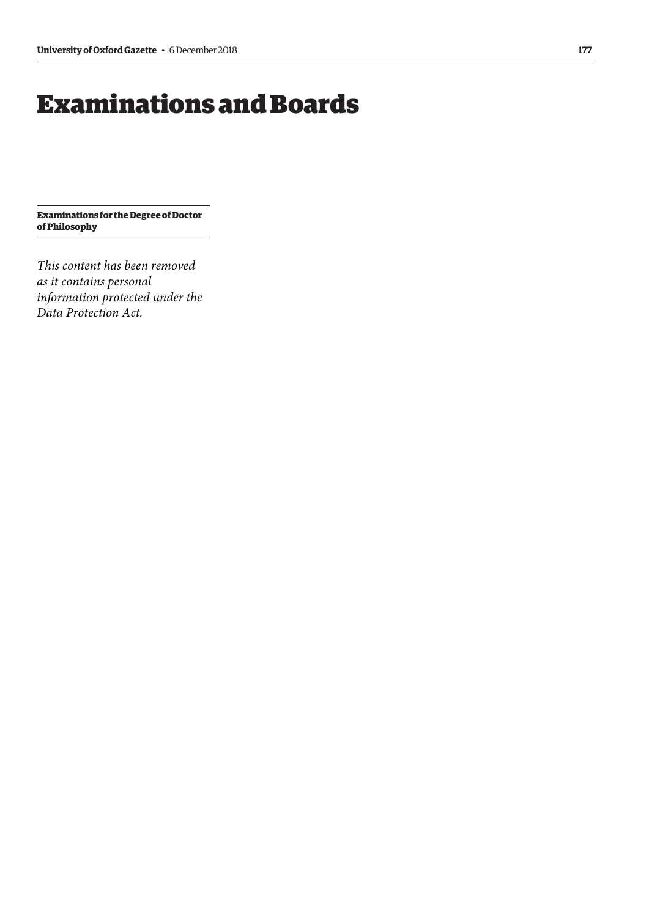# <span id="page-8-0"></span>Examinations and Boards

**Examinations for the Degree of Doctor of Philosophy**

*This content has been removed as it contains personal information protected under the Data Protection Act.*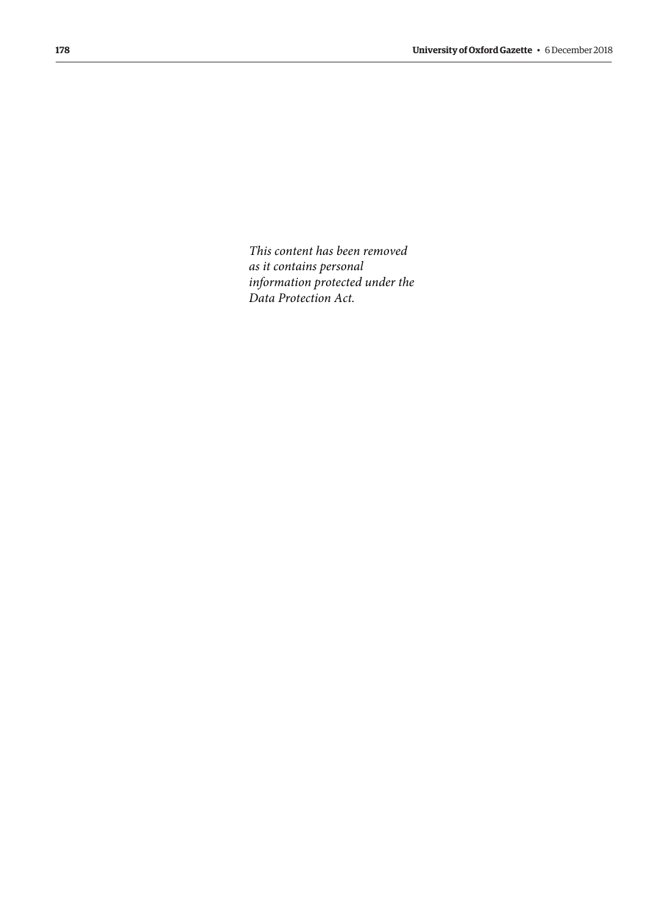*This content has been removed as it contains personal information protected under the Data Protection Act.*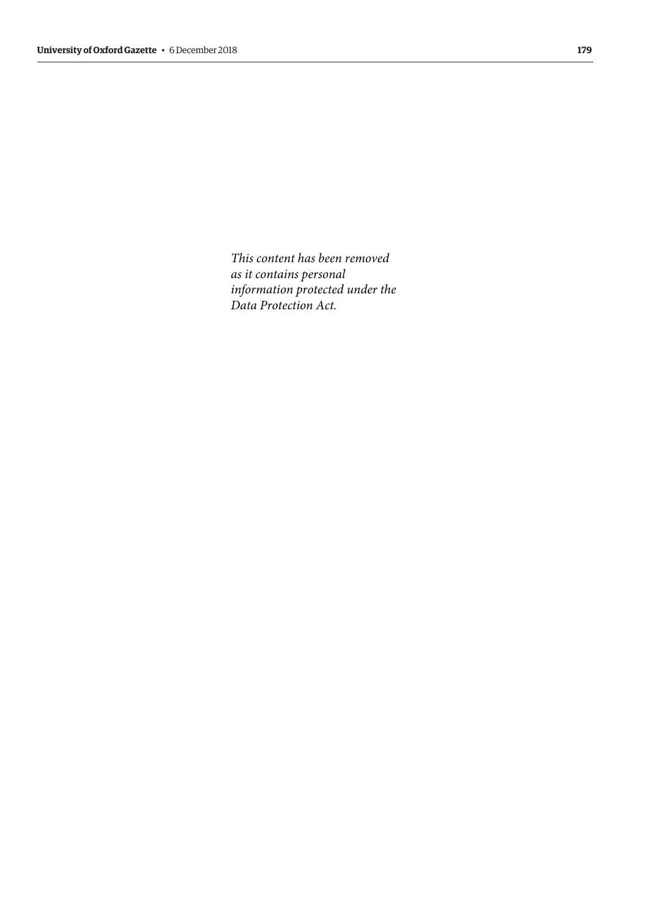*This content has been removed as it contains personal information protected under the Data Protection Act.*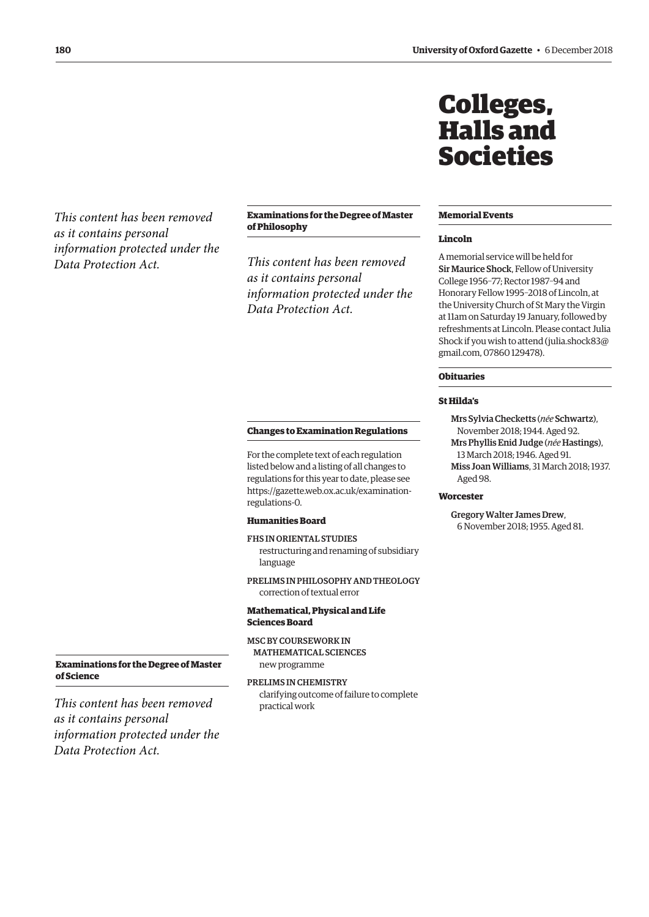<span id="page-11-0"></span>*This content has been removed as it contains personal information protected under the Data Protection Act.*

# **Examinations for the Degree of Master of Philosophy**

*This content has been removed as it contains personal information protected under the Data Protection Act.*

#### **Changes to Examination Regulations**

For the complete text of each regulation listed below and a listing of all changes to regulations for this year to date, please see [https://gazette.web.ox.ac.uk/examination](https://gazette.web.ox.ac.uk/examination-regulations-0)regulations-0.

# **Humanities Board**

FHS IN ORIENTAL STUDIES restructuring and renaming of subsidiary language

PRELIMS IN PHILOSOPHY AND THEOLOGY correction of textual error

# **Mathematical, Physical and Life Sciences Board**

MSC BY COURSEWORK IN MATHEMATICAL SCIENCES

new programme

PRELIMS IN CHEMISTRY clarifying outcome of failure to complete practical work

**Examinations for the Degree of Master of Science**

*This content has been removed as it contains personal information protected under the Data Protection Act.*

# Colleges, Halls and Societies

### **Memorial Events**

#### **Lincoln**

A memorial service will be held for Sir Maurice Shock, Fellow of University College 1956–77; Rector 1987–94 and Honorary Fellow 1995–2018 of Lincoln, at the University Church of St Mary the Virgin at 11am on Saturday 19 January, followed by refreshments at Lincoln. Please contact Julia Shock if you wish to attend ([julia.shock83@](mailto:julia.shock83@gmail.com) [gmail.com, 07](mailto:julia.shock83@gmail.com)860 129478).

# **Obituaries**

# **St Hilda's**

Mrs Sylvia Checketts (*née* Schwartz), November 2018; 1944. Aged 92. Mrs Phyllis Enid Judge (*née* Hastings), 13 March 2018; 1946. Aged 91. Miss Joan Williams, 31 March 2018; 1937. Aged 98.

# **Worcester**

Gregory Walter James Drew, 6 November 2018; 1955. Aged 81.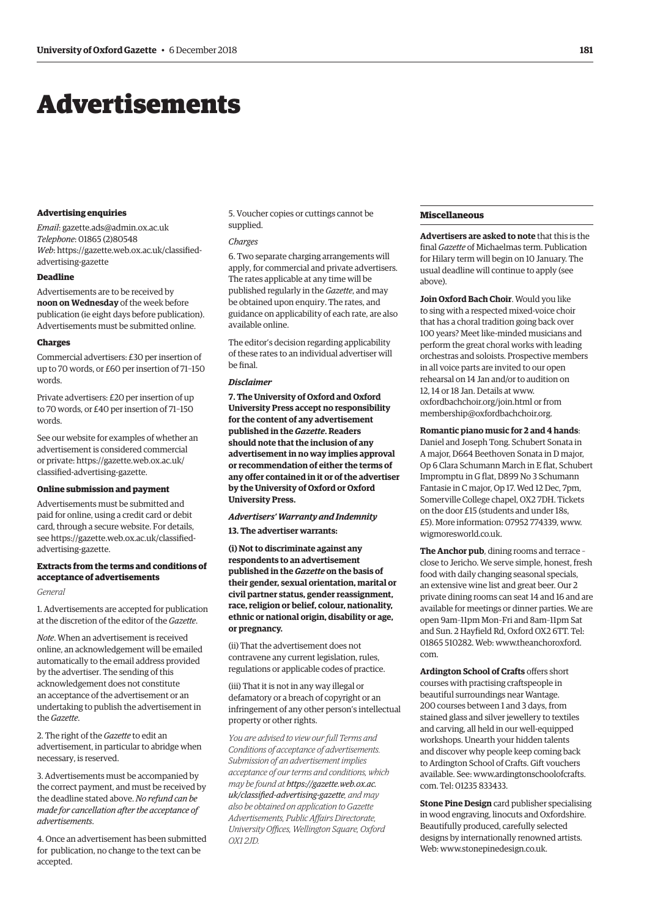# <span id="page-12-0"></span>Advertisements

#### **Advertising enquiries**

*Email*: [gazette.ads@admin.ox.ac.uk](mailto:gazette.ads@admin.ox.ac.uk) *Telephone*: 01865 (2)80548 *Web*[: https://gazette.web.ox.ac.uk/classified](https://gazette.web.ox.ac.uk/classified-advertising-gazette)advertising-gazette

# **Deadline**

Advertisements are to be received by **noon on Wednesday** of the week before publication (ie eight days before publication). Advertisements must be submitted online.

#### **Charges**

Commercial advertisers: £30 per insertion of up to 70 words, or £60 per insertion of 71–150 words.

Private advertisers: £20 per insertion of up to 70 words, or £40 per insertion of 71–150 words.

See our website for examples of whether an advertisement is considered commercial [or private: https://gazette.web.ox.ac.uk/](https://gazette.web.ox.ac.uk/classified-advertising-gazette) classified-advertising-gazette.

#### **Online submission and payment**

Advertisements must be submitted and paid for online, using a credit card or debit card, through a secure website. For details, [see https://gazette.web.ox.ac.uk/classified](https://gazette.web.ox.ac.uk/classified-advertising-gazette)advertising-gazette.

# **Extracts from the terms and conditions of acceptance of advertisements**

### *General*

1. Advertisements are accepted for publication at the discretion of the editor of the *Gazette*.

*Note*. When an advertisement is received online, an acknowledgement will be emailed automatically to the email address provided by the advertiser. The sending of this acknowledgement does not constitute an acceptance of the advertisement or an undertaking to publish the advertisement in the *Gazette*.

2. The right of the *Gazette* to edit an advertisement, in particular to abridge when necessary, is reserved.

3. Advertisements must be accompanied by the correct payment, and must be received by the deadline stated above. *No refund can be made for cancellation after the acceptance of advertisements*.

4. Once an advertisement has been submitted for publication, no change to the text can be accepted.

5. Voucher copies or cuttings cannot be supplied.

#### *Charges*

6. Two separate charging arrangements will apply, for commercial and private advertisers. The rates applicable at any time will be published regularly in the *Gazette*, and may be obtained upon enquiry. The rates, and guidance on applicability of each rate, are also available online.

The editor's decision regarding applicability of these rates to an individual advertiser will be final.

#### *Disclaimer*

**7. The University of Oxford and Oxford University Press accept no responsibility for the content of any advertisement published in the** *Gazette***. Readers should note that the inclusion of any advertisement in no way implies approval or recommendation of either the terms of any offer contained in it or of the advertiser by the University of Oxford or Oxford University Press.**

# *Advertisers' Warranty and Indemnity*

**13. The advertiser warrants:**

**(i) Not to discriminate against any respondents to an advertisement published in the** *Gazette* **on the basis of their gender, sexual orientation, marital or civil partner status, gender reassignment, race, religion or belief, colour, nationality, ethnic or national origin, disability or age, or pregnancy.**

(ii) That the advertisement does not contravene any current legislation, rules, regulations or applicable codes of practice.

(iii) That it is not in any way illegal or defamatory or a breach of copyright or an infringement of any other person's intellectual property or other rights.

*You are advised to view our full Terms and Conditions of acceptance of advertisements. Submission of an advertisement implies acceptance of our terms and conditions, which may be found at https://gazette.web.ox.ac. [uk/classified-advertising-gazette](https://gazette.web.ox.ac.uk/classified-advertising-gazette), and may also be obtained on application to Gazette Advertisements, Public Affairs Directorate, University Offices, Wellington Square, Oxford OX1 2JD.*

# **Miscellaneous**

**Advertisers are asked to note** that this is the final *Gazette* of Michaelmas term. Publication for Hilary term will begin on 10 January. The usual deadline will continue to apply (see above).

**Join Oxford Bach Choir**. Would you like to sing with a respected mixed-voice choir that has a choral tradition going back over 100 years? Meet like-minded musicians and perform the great choral works with leading orchestras and soloists. Prospective members in all voice parts are invited to our open rehearsal on 14 Jan and/or to audition on 12, 14 or 18 Jan. Details at [www.](http://www.oxfordbachchoir.org/join.html) [oxfordbachchoir.org/join.html or](http://www.oxfordbachchoir.org/join.html) from [membership@oxfordbachchoir.org.](mailto:membership@oxfordbachchoir.org)

#### **Romantic piano music for 2 and 4 hands**:

Daniel and Joseph Tong. Schubert Sonata in A major, D664 Beethoven Sonata in D major, Op 6 Clara Schumann March in E flat, Schubert Impromptu in G flat, D899 No 3 Schumann Fantasie in C major, Op 17. Wed 12 Dec, 7pm, Somerville College chapel, OX2 7DH. Tickets on the door £15 (students and under 18s, £5). More information: 07952 774339, [www.](http://www.wigmoresworld.co.uk) [wigmoresworld.co.uk.](http://www.wigmoresworld.co.uk)

**The Anchor pub**, dining rooms and terrace – close to Jericho. We serve simple, honest, fresh food with daily changing seasonal specials, an extensive wine list and great beer. Our 2 private dining rooms can seat 14 and 16 and are available for meetings or dinner parties. We are open 9am–11pm Mon–Fri and 8am–11pm Sat and Sun. 2 Hayfield Rd, Oxford OX2 6TT. Tel: [01865 510282. Web: www.theanchoroxford.](www.theanchoroxford.com) com.

**Ardington School of Crafts** offers short courses with practising craftspeople in beautiful surroundings near Wantage. 200 courses between 1 and 3 days, from stained glass and silver jewellery to textiles and carving, all held in our well-equipped workshops. Unearth your hidden talents and discover why people keep coming back to Ardington School of Crafts. Gift vouchers [available. See: www.ardingtonschoolofcrafts.](www.ardingtonschoolofcrafts.com) com. Tel: 01235 833433.

**Stone Pine Design** card publisher specialising in wood engraving, linocuts and Oxfordshire. Beautifully produced, carefully selected designs by internationally renowned artists. Web: [www.stonepinedesign.co.uk.](http://www.stonepinedesign.co.uk)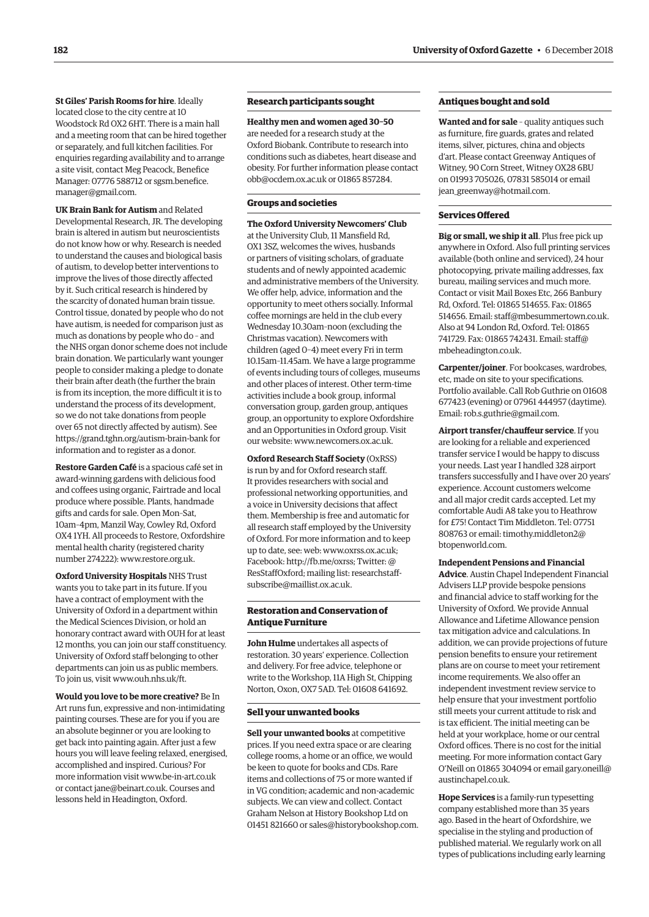**St Giles' Parish Rooms for hire**. Ideally located close to the city centre at 10 Woodstock Rd OX2 6HT. There is a main hall and a meeting room that can be hired together or separately, and full kitchen facilities. For enquiries regarding availability and to arrange a site visit, contact Meg Peacock, Benefice [Manager: 07776 588712 or sgsm.benefice.](mailto:sgsm.benefice.manager@gmail.com) manager@gmail.com.

**UK Brain Bank for Autism** and Related Developmental Research, JR. The developing brain is altered in autism but neuroscientists do not know how or why. Research is needed to understand the causes and biological basis of autism, to develop better interventions to improve the lives of those directly affected by it. Such critical research is hindered by the scarcity of donated human brain tissue. Control tissue, donated by people who do not have autism, is needed for comparison just as much as donations by people who do – and the NHS organ donor scheme does not include brain donation. We particularly want younger people to consider making a pledge to donate their brain after death (the further the brain is from its inception, the more difficult it is to understand the process of its development, so we do not take donations from people over 65 not directly affected by autism). See [https://grand.tghn.org/autism-brain-bank fo](https://grand.tghn.org/autism-brain-bank)r information and to register as a donor.

**Restore Garden Café** is a spacious café set in award-winning gardens with delicious food and coffees using organic, Fairtrade and local produce where possible. Plants, handmade gifts and cards for sale. Open Mon–Sat, 10am–4pm, Manzil Way, Cowley Rd, Oxford OX4 1YH. All proceeds to Restore, Oxfordshire mental health charity (registered charity number 274222): [www.restore.org.uk.](http://www.restore.org.uk)

**Oxford University Hospitals** NHS Trust wants you to take part in its future. If you have a contract of employment with the University of Oxford in a department within the Medical Sciences Division, or hold an honorary contract award with OUH for at least 12 months, you can join our staff constituency. University of Oxford staff belonging to other departments can join us as public members. To join us, visit [www.ouh.nhs.uk/ft.](http://www.ouh.nhs.uk/ft)

**Would you love to be more creative?** Be In Art runs fun, expressive and non-intimidating painting courses. These are for you if you are an absolute beginner or you are looking to get back into painting again. After just a few hours you will leave feeling relaxed, energised, accomplished and inspired. Curious? For more information visit [www.be-in-art.co.uk](http://www.be-in-art.co.uk)  or contact [jane@beinart.co.uk. Co](mailto:jane@beinart.co.uk)urses and lessons held in Headington, Oxford.

# **Research participants sought**

**Healthy men and women aged 30–50** are needed for a research study at the Oxford Biobank. Contribute to research into conditions such as diabetes, heart disease and obesity. For further information please contact [obb@ocdem.ox.ac.uk or](mailto:obb@ocdem.ox.ac.uk) 01865 857284.

#### **Groups and societies**

**The Oxford University Newcomers' Club** at the University Club, 11 Mansfield Rd, OX1 3SZ, welcomes the wives, husbands or partners of visiting scholars, of graduate students and of newly appointed academic and administrative members of the University. We offer help, advice, information and the opportunity to meet others socially. Informal coffee mornings are held in the club every Wednesday 10.30am–noon (excluding the Christmas vacation). Newcomers with children (aged 0–4) meet every Fri in term 10.15am–11.45am. We have a large programme of events including tours of colleges, museums and other places of interest. Other term-time activities include a book group, informal conversation group, garden group, antiques group, an opportunity to explore Oxfordshire and an Opportunities in Oxford group. Visit our website: [www.newcomers.ox.ac.uk.](http://www.newcomers.ox.ac.uk) 

**Oxford Research Staff Society** (OxRSS) is run by and for Oxford research staff. It provides researchers with social and professional networking opportunities, and a voice in University decisions that affect them. Membership is free and automatic for all research staff employed by the University of Oxford. For more information and to keep up to date, see: web: [www.oxrss.ox.ac.uk;](http://www.oxrss.ox.ac.uk)  Facebook: [http://fb.me/oxrss; Tw](http://fb.me/oxrss)itter: @ [ResStaffOxford; mailing list: researchstaff](mailto:researchstaff-subscribe@maillist.ox.ac.uk)subscribe@maillist.ox.ac.uk.

# **Restoration and Conservation of Antique Furniture**

**John Hulme** undertakes all aspects of restoration. 30 years' experience. Collection and delivery. For free advice, telephone or write to the Workshop, 11A High St, Chipping Norton, Oxon, OX7 5AD. Tel: 01608 641692.

#### **Sell your unwanted books**

**Sell your unwanted books** at competitive prices. If you need extra space or are clearing college rooms, a home or an office, we would be keen to quote for books and CDs. Rare items and collections of 75 or more wanted if in VG condition; academic and non-academic subjects. We can view and collect. Contact Graham Nelson at History Bookshop Ltd on 01451 821660 or [sales@historybookshop.com.](mailto:sales@historybookshop.com)

# **Antiques bought and sold**

**Wanted and for sale** – quality antiques such as furniture, fire guards, grates and related items, silver, pictures, china and objects d'art. Please contact Greenway Antiques of Witney, 90 Corn Street, Witney OX28 6BU on 01993 705026, 07831 585014 or email [jean\\_greenway@hotmail.com.](mailto:jean_greenway@hotmail.com)

#### **Services Offered**

**Big or small, we ship it all**. Plus free pick up anywhere in Oxford. Also full printing services available (both online and serviced), 24 hour photocopying, private mailing addresses, fax bureau, mailing services and much more. Contact or visit Mail Boxes Etc, 266 Banbury Rd, Oxford. Tel: 01865 514655. Fax: 01865 514656. Email: [staff@mbesummertown.co.uk.](mailto:staff@mbesummertown.co.uk)  Also at 94 London Rd, Oxford. Tel: 01865 [741729. Fax: 01865 742431. Email: staff@](mailto:staff@mbeheadington.co.uk) mbeheadington.co.uk.

**Carpenter/joiner**. For bookcases, wardrobes, etc, made on site to your specifications. Portfolio available. Call Rob Guthrie on 01608 677423 (evening) or 07961 444957 (daytime). Email: [rob.s.guthrie@gmail.com.](mailto:rob.s.guthrie@gmail.com) 

**Airport transfer/chauffeur service**. If you are looking for a reliable and experienced transfer service I would be happy to discuss your needs. Last year I handled 328 airport transfers successfully and I have over 20 years' experience. Account customers welcome and all major credit cards accepted. Let my comfortable Audi A8 take you to Heathrow for £75! Contact Tim Middleton. Tel: 07751 [808763 or email: timothy.middleton2@](mailto:timothy.middleton2@btopenworld.com) btopenworld.com.

#### **Independent Pensions and Financial**

**Advice**. Austin Chapel Independent Financial Advisers LLP provide bespoke pensions and financial advice to staff working for the University of Oxford. We provide Annual Allowance and Lifetime Allowance pension tax mitigation advice and calculations. In addition, we can provide projections of future pension benefits to ensure your retirement plans are on course to meet your retirement income requirements. We also offer an independent investment review service to help ensure that your investment portfolio still meets your current attitude to risk and is tax efficient. The initial meeting can be held at your workplace, home or our central Oxford offices. There is no cost for the initial meeting. For more information contact Gary [O'Neill on 01865 304094 or email gary.oneill@](mailto:gary.oneill@austinchapel.co.uk) austinchapel.co.uk.

**Hope Services** is a family-run typesetting company established more than 35 years ago. Based in the heart of Oxfordshire, we specialise in the styling and production of published material. We regularly work on all types of publications including early learning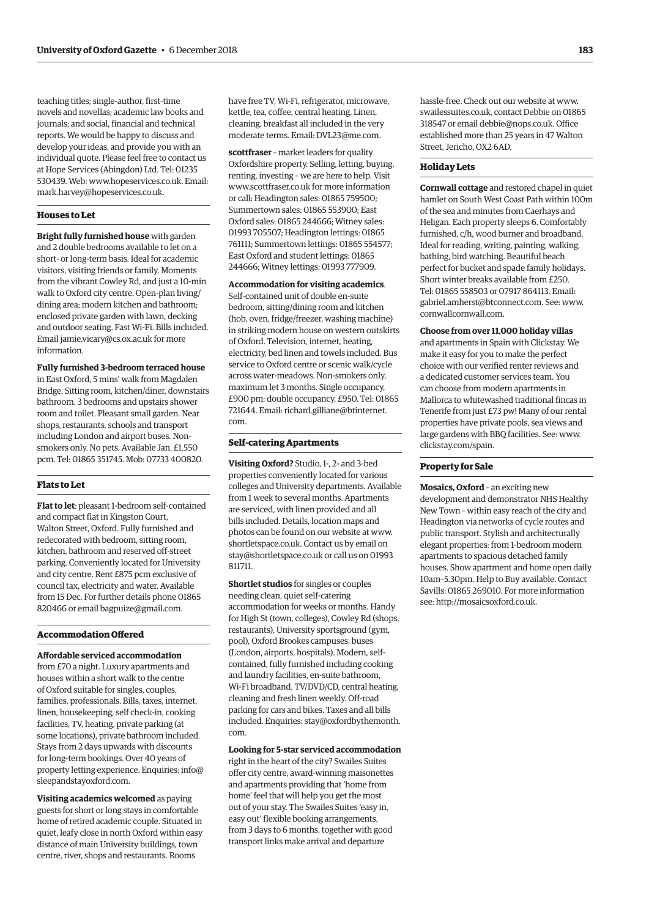teaching titles; single-author, first-time novels and novellas; academic law books and journals; and social, financial and technical reports. We would be happy to discuss and develop your ideas, and provide you with an individual quote. Please feel free to contact us at Hope Services (Abingdon) Ltd. Tel: 01235 530439. Web: [www.hopeservices.co.uk. Em](http://www.hopeservices.co.uk)ail: [mark.harvey@hopeservices.co.uk.](mailto:mark.harvey@hopeservices.co.uk)

#### **Houses to Let**

**Bright fully furnished house** with garden and 2 double bedrooms available to let on a short- or long-term basis. Ideal for academic visitors, visiting friends or family. Moments from the vibrant Cowley Rd, and just a 10-min walk to Oxford city centre. Open-plan living/ dining area; modern kitchen and bathroom; enclosed private garden with lawn, decking and outdoor seating. Fast Wi-Fi. Bills included. Email [jamie.vicary@cs.ox.ac.uk fo](mailto:jamie.vicary@cs.ox.ac.uk)r more information.

**Fully furnished 3-bedroom terraced house** in East Oxford, 5 mins' walk from Magdalen Bridge. Sitting room, kitchen/diner, downstairs bathroom. 3 bedrooms and upstairs shower room and toilet. Pleasant small garden. Near shops, restaurants, schools and transport including London and airport buses. Nonsmokers only. No pets. Available Jan, £1,550 pcm. Tel: 01865 351745. Mob: 07733 400820.

## **Flats to Let**

**Flat to let**: pleasant 1-bedroom self-contained and compact flat in Kingston Court, Walton Street, Oxford. Fully furnished and redecorated with bedroom, sitting room, kitchen, bathroom and reserved off-street parking. Conveniently located for University and city centre. Rent £875 pcm exclusive of council tax, electricity and water. Available from 15 Dec. For further details phone 01865 820466 or email [bagpuize@gmail.com.](mailto:bagpuize@gmail.com)

#### **Accommodation Offered**

**Affordable serviced accommodation**

from £70 a night. Luxury apartments and houses within a short walk to the centre of Oxford suitable for singles, couples, families, professionals. Bills, taxes, internet, linen, housekeeping, self check-in, cooking facilities, TV, heating, private parking (at some locations), private bathroom included. Stays from 2 days upwards with discounts for long-term bookings. Over 40 years of [property letting experience. Enquiries: info@](mailto:info@sleepandstayoxford.com) sleepandstayoxford.com.

**Visiting academics welcomed** as paying guests for short or long stays in comfortable home of retired academic couple. Situated in quiet, leafy close in north Oxford within easy distance of main University buildings, town centre, river, shops and restaurants. Rooms

have free TV, Wi-Fi, refrigerator, microwave, kettle, tea, coffee, central heating. Linen, cleaning, breakfast all included in the very moderate terms. Email: [DVL23@me.com.](mailto:DVL23@me.com)

**scottfraser** – market leaders for quality Oxfordshire property. Selling, letting, buying, renting, investing – we are here to help. Visit [www.scottfraser.co.uk fo](http://www.scottfraser.co.uk)r more information or call: Headington sales: 01865 759500; Summertown sales: 01865 553900; East Oxford sales: 01865 244666; Witney sales: 01993 705507; Headington lettings: 01865 761111; Summertown lettings: 01865 554577; East Oxford and student lettings: 01865 244666; Witney lettings: 01993 777909.

# **Accommodation for visiting academics**.

Self-contained unit of double en-suite bedroom, sitting/dining room and kitchen (hob, oven, fridge/freezer, washing machine) in striking modern house on western outskirts of Oxford. Television, internet, heating, electricity, bed linen and towels included. Bus service to Oxford centre or scenic walk/cycle across water-meadows. Non-smokers only, maximum let 3 months. Single occupancy, £900 pm; double occupancy, £950. Tel: 01865 [721644. Email: richard.gilliane@btinternet.](mailto:richard.gilliane@btinternet.com) com.

## **Self-catering Apartments**

**Visiting Oxford?** Studio, 1-, 2- and 3-bed properties conveniently located for various colleges and University departments. Available from 1 week to several months. Apartments are serviced, with linen provided and all bills included. Details, location maps and photos can be found on our website at [www.](http://www.shortletspace.co.uk) [shortletspace.co.uk. Co](http://www.shortletspace.co.uk)ntact us by email on [stay@shortletspace.co.uk or](mailto:stay@shortletspace.co.uk) call us on 01993 811711.

**Shortlet studios** for singles or couples needing clean, quiet self-catering accommodation for weeks or months. Handy for High St (town, colleges), Cowley Rd (shops, restaurants), University sportsground (gym, pool), Oxford Brookes campuses, buses (London, airports, hospitals). Modern, selfcontained, fully furnished including cooking and laundry facilities, en-suite bathroom, Wi-Fi broadband, TV/DVD/CD, central heating, cleaning and fresh linen weekly. Off-road parking for cars and bikes. Taxes and all bills [included. Enquiries: stay@oxfordbythemonth.](mailto:stay@oxfordbythemonth.com) com.

## **Looking for 5-star serviced accommodation**

right in the heart of the city? Swailes Suites offer city centre, award-winning maisonettes and apartments providing that 'home from home' feel that will help you get the most out of your stay. The Swailes Suites 'easy in, easy out' flexible booking arrangements, from 3 days to 6 months, together with good transport links make arrival and departure

hassle-free. Check out our website at [www.](http://www.swailessuites.co.uk) [swailessuites.co.uk, co](http://www.swailessuites.co.uk)ntact Debbie on 01865 318547 or email [debbie@nops.co.uk. Of](mailto:debbie@nops.co.uk)fice established more than 25 years in 47 Walton Street, Jericho, OX2 6AD.

#### **Holiday Lets**

**Cornwall cottage** and restored chapel in quiet hamlet on South West Coast Path within 100m of the sea and minutes from Caerhays and Heligan. Each property sleeps 6. Comfortably furnished, c/h, wood burner and broadband. Ideal for reading, writing, painting, walking, bathing, bird watching. Beautiful beach perfect for bucket and spade family holidays. Short winter breaks available from £250. Tel: 01865 558503 or 07917 864113. Email: [gabriel.amherst@btconnect.com. Se](mailto:gabriel.amherst@btconnect.com)e: [www.](http://www.cornwallcornwall.com) [cornwallcornwall.com.](http://www.cornwallcornwall.com)

**Choose from over 11,000 holiday villas**

and apartments in Spain with Clickstay. We make it easy for you to make the perfect choice with our verified renter reviews and a dedicated customer services team. You can choose from modern apartments in Mallorca to whitewashed traditional fincas in Tenerife from just £73 pw! Many of our rental properties have private pools, sea views and large gardens with BBQ facilities. See: [www.](http://www.clickstay.com/spain) [clickstay.com/spain.](http://www.clickstay.com/spain)

## **Property for Sale**

**Mosaics, Oxford** – an exciting new development and demonstrator NHS Healthy New Town – within easy reach of the city and Headington via networks of cycle routes and public transport. Stylish and architecturally elegant properties: from 1-bedroom modern apartments to spacious detached family houses. Show apartment and home open daily 10am–5.30pm. Help to Buy available. Contact Savills: 01865 269010. For more information see: [http://mosaicsoxford.co.uk.](http://mosaicsoxford.co.uk)